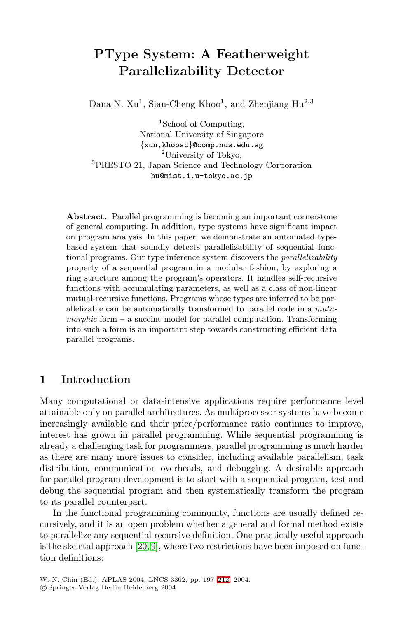# **PType System: A Featherweight Parallelizability Detector**

Dana N. Xu<sup>1</sup>, Siau-Cheng Khoo<sup>1</sup>, and Zhenjiang Hu<sup>2,3</sup>

<sup>1</sup>School of Computing, National University of Singapore {xun,khoosc}@comp.nus.edu.sg <sup>2</sup>University of Tokyo, <sup>3</sup>PRESTO 21, Japan Science and Technology Corporation hu@mist.i.u-tokyo.ac.jp

**Abstract.** Parallel programming is becoming an important cornerstone of general computing. In addition, type systems have significant impact on program analysis. In this paper, we demonstrate an automated typebased system that soundly detects parallelizability of sequential functional programs. Our type inference system discovers the parallelizability property of a sequential program in a modular fashion, by exploring a ring structure among the program's operators. It handles self-recursive functions with accumulating parameters, as well as a class of non-linear mutual-recursive functions. Programs whose types are inferred to be parallelizable can be automatically transformed to parallel code in a mutumorphic form  $-$  a succint model for parallel computation. Transforming into such a form is an important step towards constructing efficient data parallel programs.

## **1 Introduction**

Many computational or data-intensive applications require performance level attainable only on parallel architectures. As multiprocessor systems have become increasingly available and their price/performance ratio continues to improve, interest has grown in parallel programming. While sequential programming is already a challenging task for programmers, parallel programming is much harder as there are many more issues to consider, including available parallelism, task distribution, communication overheads, and debugging. A desirable approach for parallel program development is to start with a sequential program, test and debug the sequential program and then systematically transform the program to its parallel counterpart.

In the functional programming community, functions are usually defined recursively, and it is an open problem whether a general and formal method exists to parallelize any sequential recursive definition. One practically useful approach is the skeletal approach [\[20,](#page-15-0) [9\]](#page-15-1), where two restrictions have been imposed on function definitions: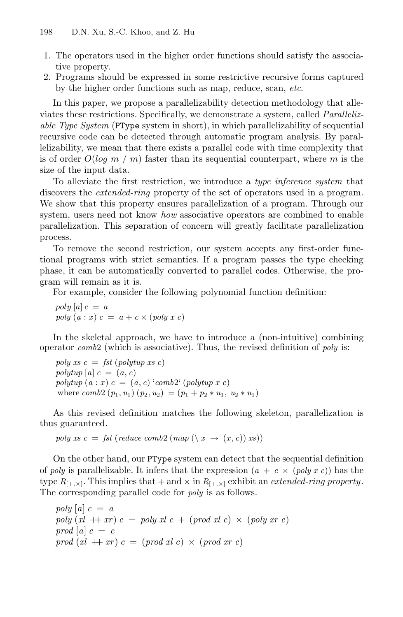- 1. The operators used in the higher order functions should satisfy the associative property.
- 2. Programs should be expressed in some restrictive recursive forms captured by the higher order functions such as map, reduce, scan, *etc*.

In this paper, we propose a parallelizability detection methodology that alleviates these restrictions. Specifically, we demonstrate a system, called *Parallelizable Type System* (PType system in short), in which parallelizability of sequential recursive code can be detected through automatic program analysis. By parallelizability, we mean that there exists a parallel code with time complexity that is of order  $O(\log m / m)$  faster than its sequential counterpart, where m is the size of the input data.

To alleviate the first restriction, we introduce a *type inference system* that discovers the *extended-ring* property of the set of operators used in a program. We show that this property ensures parallelization of a program. Through our system, users need not know *how* associative operators are combined to enable parallelization. This separation of concern will greatly facilitate parallelization process.

To remove the second restriction, our system accepts any first-order functional programs with strict semantics. If a program passes the type checking phase, it can be automatically converted to parallel codes. Otherwise, the program will remain as it is.

For example, consider the following polynomial function definition:

poly  $|a| c = a$ poly  $(a : x) c = a + c \times (poly x c)$ 

In the skeletal approach, we have to introduce a (non-intuitive) combining operator  $comb2$  (which is associative). Thus, the revised definition of *poly* is:

poly xs  $c = fst$  (polytup xs c) polytup  $[a]$   $c = (a, c)$ polytup  $(a : x) c = (a, c)$  'comb2' (polytup x c) where  $comb2(p_1, u_1)(p_2, u_2) = (p_1 + p_2 * u_1, u_2 * u_1)$ 

As this revised definition matches the following skeleton, parallelization is thus guaranteed.

poly xs  $c = \int f(x) \cdot r \cdot d(x) \cdot (m a p \cdot (x - \langle x, c \rangle) x s)$ 

On the other hand, our PType system can detect that the sequential definition of poly is parallelizable. It infers that the expression  $(a + c \times (poly x c))$  has the type  $R_{[+,\times]}$ . This implies that  $+$  and  $\times$  in  $R_{[+,\times]}$  exhibit an *extended-ring property*. The corresponding parallel code for poly is as follows.

*poly*  $[a]$   $c = a$ *poly*  $(xl + xr) c = poly xl c + (prod xl c) \times (poly xr c)$ *prod* [a]  $c = c$  $\text{prod}(xl + xr) c = (\text{prod } xl c) \times (\text{prod } xr c)$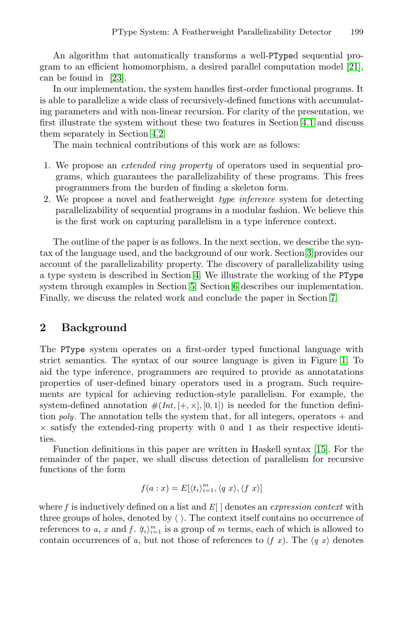An algorithm that automatically transforms a well-PTyped sequential program to an efficient homomorphism, a desired parallel computation model [\[21\]](#page-15-3), can be found in [\[23\]](#page-15-4).

In our implementation, the system handles first-order functional programs. It is able to parallelize a wide class of recursively-defined functions with accumulating parameters and with non-linear recursion. For clarity of the presentation, we first illustrate the system without these two features in Section [4.1](#page-7-0) and discuss them separately in Section [4.2.](#page-9-0)

The main technical contributions of this work are as follows:

- 1. We propose an *extended ring property* of operators used in sequential programs, which guarantees the parallelizability of these programs. This frees programmers from the burden of finding a skeleton form.
- 2. We propose a novel and featherweight *type inference* system for detecting parallelizability of sequential programs in a modular fashion. We believe this is the first work on capturing parallelism in a type inference context.

The outline of the paper is as follows. In the next section, we describe the syntax of the language used, and the background of our work. Section [3](#page-4-0) provides our account of the parallelizability property. The discovery of parallelizability using a type system is described in Section [4.](#page-6-0) We illustrate the working of the PType system through examples in Section [5.](#page-11-0) Section [6](#page-13-0) describes our implementation. Finally, we discuss the related work and conclude the paper in Section [7.](#page-13-1)

## **2 Background**

The PType system operates on a first-order typed functional language with strict semantics. The syntax of our source language is given in Figure [1.](#page-3-0) To aid the type inference, programmers are required to provide as annotatations properties of user-defined binary operators used in a program. Such requirements are typical for achieving reduction-style parallelism. For example, the system-defined annotation  $\#(Int, [+, \times], [0, 1])$  is needed for the function definition *poly*. The annotation tells the system that, for all integers, operators  $+$  and  $\times$  satisfy the extended-ring property with 0 and 1 as their respective identities.

Function definitions in this paper are written in Haskell syntax [\[15\]](#page-15-5). For the remainder of the paper, we shall discuss detection of parallelism for recursive functions of the form

$$
f(a:x) = E[\langle t_i \rangle_{i=1}^m, \langle q \ x \rangle, \langle f \ x \rangle]
$$

where f is inductively defined on a list and E[ ] denotes an *expression context* with three groups of holes, denoted by  $\langle \ \rangle$ . The context itself contains no occurrence of references to a, x and f.  $\langle t_i \rangle_{i=1}^m$  is a group of m terms, each of which is allowed to contain occurrences of a, but not those of references to  $(f x)$ . The  $\langle q x \rangle$  denotes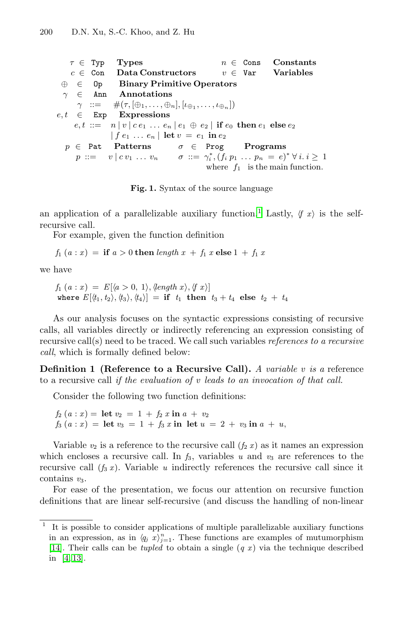```
\tau \in \text{Typ Type} n \in \text{Cons} Constants<br>c \in \text{Con Table} Data Constructors v \in \text{Var} Variables
         c \in \text{Con} Data Constructors v \in \text{Var} Variables
  \begin{array}{rcl}\n\oplus & \in & \text{Op} \qquad \text{Binary Primitive Operators}\ \gamma & \in & \text{Ann} \qquad \text{Annotations}\n\end{array}\in Ann Annotations<br>
\gamma ::= \#(\tau, [\oplus_1, \ldots, \oplus_n])\#(\tau, [\oplus_1,\ldots,\oplus_n], [\iota_{\oplus_1},\ldots,\iota_{\oplus_n}])e, t \in \text{Exp} Expressions<br>e, t \in \text{exp}[\text{exp}(e_t, e_t)]e, t \ ::= \begin{array}{c} n \mid v \mid c \, e_1 \, \ldots \, e_n \mid e_1 \oplus e_2 \mid \textbf{if} \, e_0 \, \textbf{then} \, e_1 \, \textbf{else} \, e_2 \ \mid \textbf{if} \, e_1 \, \ldots \, e_n \mid \textbf{let} \, v = e_1 \, \textbf{in} \, e_2 \end{array}|f e_1 ... e_n| let v = e_1 in e_2<br>Patterns \sigma \in Progp \in \text{Pat} \quad \textbf{Patterns} \qquad \sigma \in \text{Prog} \qquad \textbf{Programs} \ p ::= \quad v \mid cv_1 \ldots v_n \qquad \sigma ::= \gamma_i^*, (f_i \ p_1 \ldots p_n = e)^* \ \forall \ i.\ i \geq 1p ::= v \mid c \, v_1 \, \ldots \, v_nwhere f_1 is the main function.
```
<span id="page-3-0"></span>**Fig. 1.** Syntax of the source language

an application of a parallelizable auxiliary function.<sup>[1](#page-3-1)</sup> Lastly,  $\langle f, x \rangle$  is the selfrecursive call.

For example, given the function definition

 $f_1(a : x) =$  **if**  $a > 0$  **then** length  $x + f_1 x$  **else**  $1 + f_1 x$ 

we have

 $f_1(a : x) = E[\langle a > 0, 1 \rangle, \langle length \ x \rangle, \langle fx \rangle]$ where  $E[\langle t_1, t_2 \rangle, \langle t_3 \rangle, \langle t_4 \rangle] = \textbf{if} \ \ t_1 \ \textbf{then} \ \ t_3 + t_4 \ \textbf{else} \ \ t_2 + t_4$ 

As our analysis focuses on the syntactic expressions consisting of recursive calls, all variables directly or indirectly referencing an expression consisting of recursive call(s) need to be traced. We call such variables *references to a recursive call*, which is formally defined below:

**Definition 1 (Reference to a Recursive Call).** *A variable v is a* reference to a recursive call *if the evaluation of v leads to an invocation of that call.*

Consider the following two function definitions:

 $f_2(a : x) = \text{let } v_2 = 1 + f_2 x \text{ in } a + v_2$  $f_3(a : x) = \text{let } v_3 = 1 + f_3 x \text{ in } \text{let } u = 2 + v_3 \text{ in } a + u,$ 

Variable  $v_2$  is a reference to the recursive call  $(f_2 x)$  as it names an expression which encloses a recursive call. In  $f_3$ , variables u and  $v_3$  are references to the recursive call  $(f_3 x)$ . Variable u indirectly references the recursive call since it  $contains$   $v_3$ .

For ease of the presentation, we focus our attention on recursive function definitions that are linear self-recursive (and discuss the handling of non-linear

<span id="page-3-1"></span><sup>1</sup> It is possible to consider applications of multiple parallelizable auxiliary functions in an expression, as in  $\langle q_j x \rangle_{j=1}^n$ . These functions are examples of mutumorphism [\[14\]](#page-15-6). Their calls can be *tupled* to obtain a single  $(q x)$  via the technique described in [\[4,](#page-15-7) [13\]](#page-15-8).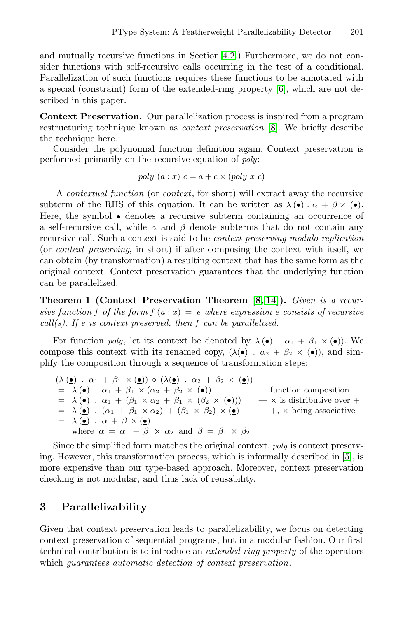and mutually recursive functions in Section [4.2.](#page-9-0)) Furthermore, we do not consider functions with self-recursive calls occurring in the test of a conditional. Parallelization of such functions requires these functions to be annotated with a special (constraint) form of the extended-ring property [\[6\]](#page-15-9), which are not described in this paper.

**Context Preservation.** Our parallelization process is inspired from a program restructuring technique known as *context preservation* [\[8\]](#page-15-10). We briefly describe the technique here.

Consider the polynomial function definition again. Context preservation is performed primarily on the recursive equation of poly:

$$
poly(a: x) c = a + c \times (poly x c)
$$

A *contextual function* (or *context*, for short) will extract away the recursive subterm of the RHS of this equation. It can be written as  $\lambda(\bullet) \cdot \alpha + \beta \times (\bullet)$ . Here, the symbol • denotes a recursive subterm containing an occurrence of a self-recursive call, while  $\alpha$  and  $\beta$  denote subterms that do not contain any recursive call. Such a context is said to be *context preserving modulo replication* (or *context preserving*, in short) if after composing the context with itself, we can obtain (by transformation) a resulting context that has the same form as the original context. Context preservation guarantees that the underlying function can be parallelized.

**Theorem 1 (Context Preservation Theorem [\[8,](#page-15-10) [14\]](#page-15-6)).** *Given is a recursive function* f *of the form*  $f(a : x) = e$  *where expression e consists of recursive call(s). If* e *is context preserved, then* f *can be parallelized.*

For function poly, let its context be denoted by  $\lambda(\bullet)$ .  $\alpha_1 + \beta_1 \times (\bullet)$ . We compose this context with its renamed copy,  $(\lambda(\bullet))$ .  $\alpha_2 + \beta_2 \times (\bullet)$ , and simplify the composition through a sequence of transformation steps:

 $(\lambda (\bullet) \cdot \alpha_1 + \beta_1 \times (\bullet)) \circ (\lambda (\bullet) \cdot \alpha_2 + \beta_2 \times (\bullet))$  $= \lambda (\bullet)$ .  $\alpha_1 + \beta_1 \times (\alpha_2 + \beta_2 \times (\bullet))$  — function composition  $= \lambda (\bullet)$ .  $\alpha_1 + (\beta_1 \times \alpha_2 + \beta_1 \times (\beta_2 \times (\bullet)))$  —  $\times$  is distributive over +  $= \lambda (\cdot)$ .  $(\alpha_1 + \beta_1 \times \alpha_2) + (\beta_1 \times \beta_2) \times (\cdot)$   $- +$ ,  $\times$  being associative  $= \lambda(\bullet)$  .  $\alpha + \beta \times (\bullet)$ where  $\alpha = \alpha_1 + \beta_1 \times \alpha_2$  and  $\beta = \beta_1 \times \beta_2$ 

Since the simplified form matches the original context, poly is context preserving. However, this transformation process, which is informally described in [\[5\]](#page-15-11), is more expensive than our type-based approach. Moreover, context preservation checking is not modular, and thus lack of reusability.

## <span id="page-4-0"></span>**3 Parallelizability**

Given that context preservation leads to parallelizability, we focus on detecting context preservation of sequential programs, but in a modular fashion. Our first technical contribution is to introduce an *extended ring property* of the operators which *guarantees automatic detection of context preservation*.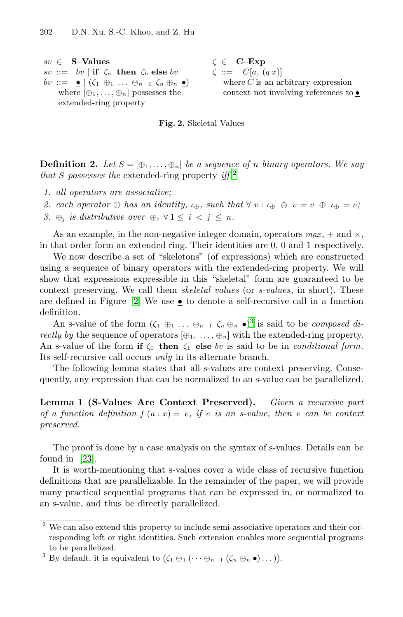sv <sup>∈</sup> **S**−**Values**  $sv ::= bv \mid \textbf{if} \ \zeta_a \ \textbf{then} \ \zeta_b \ \textbf{else} \ bv$ bv ::=  $\bullet$  |  $(\zeta_1 \oplus_1 \ldots \oplus_{n-1} \zeta_n \oplus_n \bullet)$ where  $[\oplus_1,\ldots,\oplus_n]$  possesses the extended-ring property

<sup>ζ</sup> <sup>∈</sup> **C**−**Exp**  $\zeta \, ::= \, C[a, (qx)]$ where  $C$  is an arbitrary expression context not involving references to •

<span id="page-5-1"></span>

**Definition 2.** Let  $S = [\oplus_1, \ldots, \oplus_n]$  be a sequence of n binary operators. We say *that* S *possesses the* extended-ring property *iff* [2](#page-5-0)

- *1. all operators are associative;*
- 2. each operator  $\oplus$  *has an identity,*  $\iota_{\oplus}$ *, such that*  $\forall v : \iota_{\oplus} \oplus v = v \oplus \iota_{\oplus} = v$ *;*
- *3.* ⊕*j is distributive over* ⊕*i*  $∀ 1 ≤ i < j ≤ n$ .

As an example, in the non-negative integer domain, operators  $max, +$  and  $\times$ , in that order form an extended ring. Their identities are 0, 0 and 1 respectively.

We now describe a set of "skeletons" (of expressions) which are constructed using a sequence of binary operators with the extended-ring property. We will show that expressions expressible in this "skeletal" form are guaranteed to be context preserving. We call them *skeletal values* (or *s-values*, in short). These are defined in Figure [2.](#page-5-1) We use • to denote a self-recursive call in a function definition.

An s-value of the form  $(\zeta_1 \oplus_1 \ldots \oplus_{n-1} \zeta_n \oplus_n \bullet)^3$  $(\zeta_1 \oplus_1 \ldots \oplus_{n-1} \zeta_n \oplus_n \bullet)^3$  is said to be *composed directly by* the sequence of operators  $[\oplus_1, \ldots, \oplus_n]$  with the extended-ring property. An s-value of the form **if**  $\zeta_0$  **then**  $\zeta_1$  **else** bv is said to be in *conditional form*. Its self-recursive call occurs *only* in its alternate branch.

The following lemma states that all s-values are context preserving. Consequently, any expression that can be normalized to an s-value can be parallelized.

**Lemma 1 (S-Values Are Context Preserved).** *Given a recursive part of a function definition* f (a : x ) = e*, if* e *is an s-value, then* e *can be context preserved.*

The proof is done by a case analysis on the syntax of s-values. Details can be found in [\[23\]](#page-15-4).

It is worth-mentioning that s-values cover a wide class of recursive function definitions that are parallelizable. In the remainder of the paper, we will provide many practical sequential programs that can be expressed in, or normalized to an s-value, and thus be directly parallelized.

<span id="page-5-0"></span><sup>2</sup> We can also extend this property to include semi-associative operators and their corresponding left or right identities. Such extension enables more sequential programs to be parallelized.

<span id="page-5-2"></span><sup>&</sup>lt;sup>3</sup> By default, it is equivalent to  $(\zeta_1 \oplus_1 (\cdots \oplus_{n-1} (\zeta_n \oplus_n \bullet) \dots)).$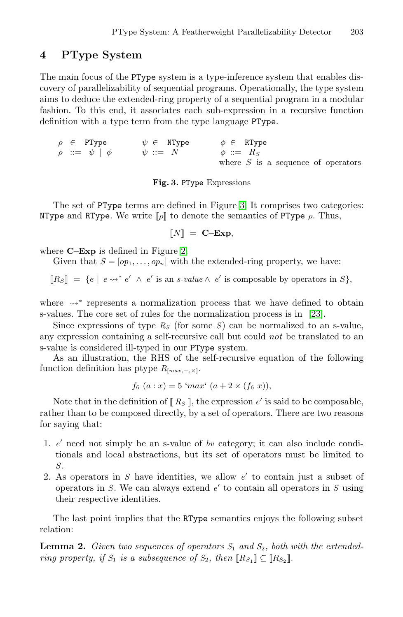## <span id="page-6-0"></span>**4 PType System**

The main focus of the PType system is a type-inference system that enables discovery of parallelizability of sequential programs. Operationally, the type system aims to deduce the extended-ring property of a sequential program in a modular fashion. To this end, it associates each sub-expression in a recursive function definition with a type term from the type language PType.

 $\rho \in \text{PType}$  $\rho$  ::=  $\psi \mid \phi$  $\psi$   $\in$  NType  $\psi$  ::= N  $\phi$   $\in$  RType  $\phi$  ::=  $R_S$ where  $S$  is a sequence of operators

<span id="page-6-1"></span>**Fig. 3.** PType Expressions

The set of PType terms are defined in Figure [3.](#page-6-1) It comprises two categories: NType and RType. We write  $\llbracket \rho \rrbracket$  to denote the semantics of PType  $\rho$ . Thus,

$$
[\![N]\!] = \mathbf{C}\text{-}\mathbf{Exp},
$$

where **C**−**Exp** is defined in Figure [2.](#page-5-1)

Given that  $S = [op_1, \ldots, op_n]$  with the extended-ring property, we have:

 $[[R_S]] = \{e \mid e \leadsto^* e' \land e' \text{ is an } s\text{-value} \land e' \text{ is composite by operators in } S\},\$ 

where  $\rightsquigarrow$  represents a normalization process that we have defined to obtain s-values. The core set of rules for the normalization process is in [\[23\]](#page-15-4).

Since expressions of type  $R<sub>S</sub>$  (for some S) can be normalized to an s-value, any expression containing a self-recursive call but could *not* be translated to an s-value is considered ill-typed in our PType system.

As an illustration, the RHS of the self-recursive equation of the following function definition has ptype  $R_{[max,+, \times]}$ .

$$
f_6(a : x) = 5 \ 'max' (a + 2 \times (f_6 \ x)),
$$

Note that in the definition of  $[[R_S]],$  the expression e' is said to be composable, rather than to be composed directly, by a set of operators. There are two reasons for saying that:

- 1.  $e'$  need not simply be an s-value of bv category; it can also include conditionals and local abstractions, but its set of operators must be limited to S.
- 2. As operators in S have identities, we allow  $e'$  to contain just a subset of operators in S. We can always extend  $e'$  to contain all operators in S using their respective identities.

The last point implies that the RType semantics enjoys the following subset relation:

**Lemma 2.** *Given two sequences of operators*  $S_1$  *and*  $S_2$ *, both with the extendedring property, if*  $S_1$  *is a subsequence of*  $S_2$ *, then*  $[R_{S_1}] \subseteq [R_{S_2}]$ .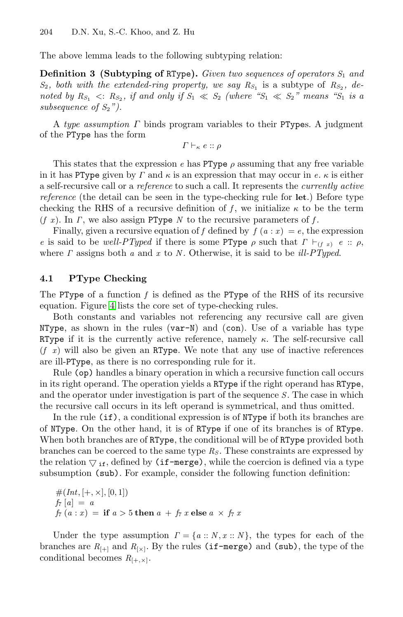The above lemma leads to the following subtyping relation:

**Definition 3 (Subtyping of RType).** *Given two sequences of operators*  $S_1$  *and*  $S_2$ *, both with the extended-ring property, we say*  $R_{S_1}$  *is a subtype of*  $R_{S_2}$ *<i>, denoted by*  $R_{S_1}$  <:  $R_{S_2}$ , *if and only if*  $S_1 \ll S_2$  (where " $S_1 \ll S_2$ " means " $S_1$  *is a subsequence of*  $S_2$ ").

<sup>A</sup> *type assumption* Γ binds program variables to their PTypes. A judgment of the PType has the form

 $\Gamma \vdash_{\kappa} e :: \rho$ 

This states that the expression e has PType  $\rho$  assuming that any free variable in it has PType given by  $\Gamma$  and  $\kappa$  is an expression that may occur in e.  $\kappa$  is either a self-recursive call or a *reference* to such a call. It represents the *currently active reference* (the detail can be seen in the type-checking rule for **let**.) Before type checking the RHS of a recursive definition of f, we initialize  $\kappa$  to be the term (f x). In  $\Gamma$ , we also assign PType N to the recursive parameters of f.

Finally, given a recursive equation of f defined by  $f(a : x) = e$ , the expression e is said to be *well-PTyped* if there is some PType  $\rho$  such that  $\Gamma \vdash_{(f x)} e :: \rho$ , where Γ assigns both a and x to N . Otherwise, it is said to be *ill-PTyped*.

#### <span id="page-7-0"></span>**4.1 PType Checking**

The PType of a function  $f$  is defined as the PType of the RHS of its recursive equation. Figure [4](#page-8-0) lists the core set of type-checking rules.

Both constants and variables not referencing any recursive call are given NType, as shown in the rules  $(var-N)$  and  $(con)$ . Use of a variable has type RType if it is the currently active reference, namely  $\kappa$ . The self-recursive call  $(f \ x)$  will also be given an RType. We note that any use of inactive references are ill-PType, as there is no corresponding rule for it.

Rule (op) handles a binary operation in which a recursive function call occurs in its right operand. The operation yields a RType if the right operand has RType, and the operator under investigation is part of the sequence S. The case in which the recursive call occurs in its left operand is symmetrical, and thus omitted.

In the rule (if), a conditional expression is of NType if both its branches are of NType. On the other hand, it is of RType if one of its branches is of RType. When both branches are of RType, the conditional will be of RType provided both branches can be coerced to the same type R*<sup>S</sup>* . These constraints are expressed by the relation  $\nabla_{if}$ , defined by (if-merge), while the coercion is defined via a type subsumption (sub). For example, consider the following function definition:

 $#(Int, [+, \times], [0, 1])$  $f_7 [a] = a$  $f_7(a : x) =$  **if**  $a > 5$  **then**  $a + f_7 x$  **else**  $a \times f_7 x$ 

Under the type assumption  $\Gamma = \{a : N, x : N\}$ , the types for each of the branches are  $R_{[+]}$  and  $R_{[<]}$ . By the rules (if-merge) and (sub), the type of the conditional becomes  $R_{[+, \times]}$ .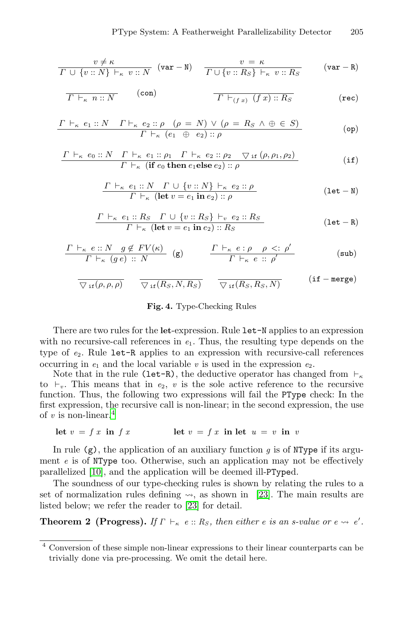$$
\frac{v \neq \kappa}{\Gamma \cup \{v :: N\} \vdash_{\kappa} v :: N} \quad (\text{var} - \texttt{N}) \quad \frac{v = \kappa}{\Gamma \cup \{v :: R_S\} \vdash_{\kappa} v :: R_S} \qquad (\text{var} - \texttt{R})
$$

$$
\overline{\Gamma \vdash_{\kappa} n :: N} \qquad \text{(con)} \qquad \qquad \overline{\Gamma \vdash_{(f x) } (f x) :: R_S} \qquad \qquad \text{(rec)}
$$

$$
\frac{\Gamma \vdash_{\kappa} e_1 :: N \quad \Gamma \vdash_{\kappa} e_2 :: \rho \quad (\rho = N) \ \lor \ (\rho = R_S \ \land \ \oplus \ \in \ S)}{\Gamma \vdash_{\kappa} \ (e_1 \ \oplus \ e_2) :: \rho} \tag{op}
$$

$$
\frac{\Gamma \vdash_{\kappa} e_0 :: N \quad \Gamma \vdash_{\kappa} e_1 :: \rho_1 \quad \Gamma \vdash_{\kappa} e_2 :: \rho_2 \quad \bigtriangledown_{\text{ if}} (\rho, \rho_1, \rho_2)}{\Gamma \vdash_{\kappa} (\text{ if } e_0 \text{ then } e_1 \text{ else } e_2) :: \rho}
$$
 (if)

$$
\frac{\Gamma \vdash_{\kappa} e_1 :: N \quad \Gamma \cup \{v :: N\} \vdash_{\kappa} e_2 :: \rho}{\Gamma \vdash_{\kappa} (\text{let } v = e_1 \text{ in } e_2) :: \rho}
$$
\n(1et - N)

$$
\frac{\Gamma \vdash_{\kappa} e_1 :: R_S \quad \Gamma \cup \{v :: R_S\} \vdash_v e_2 :: R_S}{\Gamma \vdash_{\kappa} (\text{let } v = e_1 \text{ in } e_2) :: R_S}
$$
\n(1et - R)

$$
\frac{\Gamma \vdash_{\kappa} e :: N \quad g \notin FV(\kappa)}{\Gamma \vdash_{\kappa} (g \, e) :: N} \quad (\text{g}) \qquad \frac{\Gamma \vdash_{\kappa} e : \rho \quad \rho \lt: : \rho'}{\Gamma \vdash_{\kappa} e :: \rho'} \tag{sub}
$$

$$
\overline{\nabla_{\text{if}}(\rho,\rho,\rho)} \qquad \overline{\nabla_{\text{if}}(R_S,N,R_S)} \qquad \overline{\nabla_{\text{if}}(R_S,R_S,N)} \qquad (\text{if}-\text{merge})
$$

#### <span id="page-8-0"></span>**Fig. 4.** Type-Checking Rules

There are two rules for the **let**-expression. Rule let-N applies to an expression with no recursive-call references in  $e_1$ . Thus, the resulting type depends on the type of  $e_2$ . Rule let-R applies to an expression with recursive-call references occurring in  $e_1$  and the local variable v is used in the expression  $e_2$ .

Note that in the rule (1et-R), the deductive operator has changed from  $\vdash_{\kappa}$ to  $v_{v}$ . This means that in  $e_2$ , v is the sole active reference to the recursive function. Thus, the following two expressions will fail the PType check: In the first expression, the recursive call is non-linear; in the second expression, the use of v is non-linear.<sup>[4](#page-8-1)</sup>

$$
\text{let } v = f \, x \, \text{ in } f \, x \qquad \qquad \text{let } v = f \, x \, \text{ in } \text{let } u = v \, \text{ in } v
$$

In rule  $(g)$ , the application of an auxiliary function g is of NType if its argument e is of NType too. Otherwise, such an application may not be effectively parallelized [\[10\]](#page-15-12), and the application will be deemed ill-PTyped.

The soundness of our type-checking rules is shown by relating the rules to a set of normalization rules defining  $\rightsquigarrow$ , as shown in [\[23\]](#page-15-4). The main results are listed below; we refer the reader to [\[23\]](#page-15-4) for detail.

**Theorem 2 (Progress).** If  $\Gamma \vdash_{\kappa} e :: R_S$ , then either e is an s-value or  $e \leadsto e'$ .

<span id="page-8-1"></span><sup>4</sup> Conversion of these simple non-linear expressions to their linear counterparts can be trivially done via pre-processing. We omit the detail here.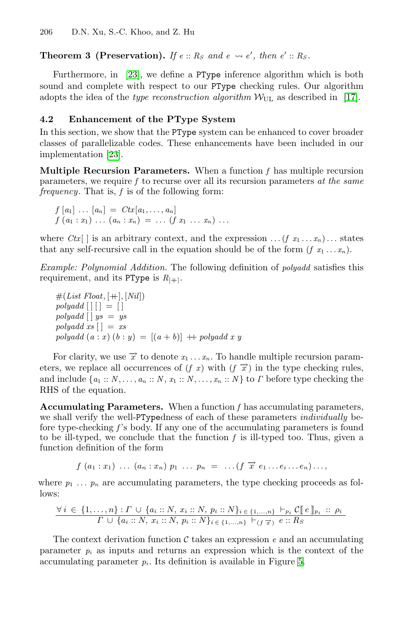#### **Theorem 3 (Preservation).** If  $e::R_S$  and  $e \rightarrow e'$ , then  $e':R_S$ .

Furthermore, in [\[23\]](#page-15-4), we define a PType inference algorithm which is both sound and complete with respect to our PType checking rules. Our algorithm adopts the idea of the *type reconstruction algorithm*  $W_{UL}$  as described in [\[17\]](#page-15-13).

#### <span id="page-9-0"></span>**4.2 Enhancement of the PType System**

In this section, we show that the PType system can be enhanced to cover broader classes of parallelizable codes. These enhancements have been included in our implementation [\[23\]](#page-15-4).

**Multiple Recursion Parameters.** When a function f has multiple recursion parameters, we require f to recurse over all its recursion parameters *at the same frequency*. That is, f is of the following form:

 $f [a_1] \ldots [a_n] = Ctx[a_1, \ldots, a_n]$  $f(a_1 : x_1) \ldots (a_n : x_n) = \ldots (f x_1 \ldots x_n) \ldots$ 

where  $Ctx$ [ ] is an arbitrary context, and the expression  $\dots (f x_1 \dots x_n) \dots$  states that any self-recursive call in the equation should be of the form  $(f x_1 ... x_n)$ .

*Example: Polynomial Addition.* The following definition of polyadd satisfies this requirement, and its PType is  $R_{[+]}.$ 

 $#(List \; float, [+], [Nil])$  $polyadd$   $[$   $]$   $[$   $]$   $=$   $[$   $]$ polyadd  $\left[\right]$  ys = ys polyadd xs  $\lceil \cdot \rceil = xs$ polyadd  $(a : x) (b : y) = [(a + b)] + polyadd x y$ 

For clarity, we use  $\vec{x}$  to denote  $x_1 \ldots x_n$ . To handle multiple recursion parameters, we replace all occurrences of  $(f \vec{x})$  with  $(f \vec{x})$  in the type checking rules, and include  $\{a_1 : N, \ldots, a_n : N, x_1 : N, \ldots, x_n : N\}$  to *Γ* before type checking the RHS of the equation.

**Accumulating Parameters.** When a function f has accumulating parameters, we shall verify the well-PTypedness of each of these parameters *individually* before type-checking  $f$ 's body. If any one of the accumulating parameters is found to be ill-typed, we conclude that the function  $f$  is ill-typed too. Thus, given a function definition of the form

$$
f(a_1:x_1)...(a_n:x_n) p_1 ... p_n = ... (f \overrightarrow{x} e_1 ... e_i ... e_n)...
$$

where  $p_1 \ldots p_n$  are accumulating parameters, the type checking proceeds as follows:

$$
\forall i \in \{1, ..., n\} : \Gamma \cup \{a_i :: N, x_i :: N, p_i :: N\}_{i \in \{1, ..., n\}} \vdash_{p_i} C[\![e]\!]_{p_i} :: \rho_i
$$
  

$$
\Gamma \cup \{a_i :: N, x_i :: N, p_i :: N\}_{i \in \{1, ..., n\}} \vdash_{(f \vec{x})} e :: R_S
$$

The context derivation function  $\mathcal C$  takes an expression  $e$  and an accumulating parameter p*<sup>i</sup>* as inputs and returns an expression which is the context of the accumulating parameter  $p_i$ . Its definition is available in Figure [5.](#page-10-0)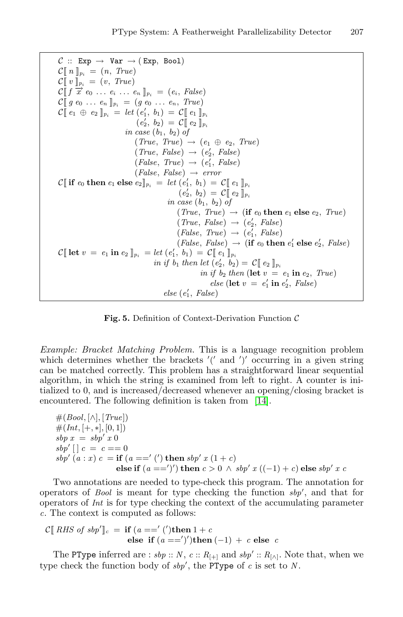```
C :: Exp \rightarrow Var \rightarrow (Exp, Bool)\mathcal{C}[\![ n ]\!]_{p_i} = (n, True)\mathcal{C}[\![v]\!]_{p_i} = (v, True)\mathcal{C}[[f\ \overrightarrow{x}\ e_0\ \ldots\ e_i\ \ldots\ e_n\ ]_{p_i}=(e_i,\ False)C[\![ g \ e_0 \ \ldots \ e_n ]\!]_{p_i} = (g \ e_0 \ \ldots \ e_n, \ True)\mathcal{C} \llbracket \; e_1 \; \oplus \; e_2 \; \rrbracket_{p_i} \; = \; let \; (e_1', \; b_1) \; = \; \mathcal{C} \llbracket \; e_1 \; \rrbracket_{p_i}(e'_2, b_2) = C[ e_2 ]_{p_i}in case (b_1, b_2) of
                                     (True, True) \rightarrow (e_1 \oplus e_2, True)(\text{True}, \text{False}) \rightarrow (e'_2, \text{False})(False, True) \rightarrow (e'_1, False)(False, False) \rightarrow errorC[[ if e0 then e1 else e2]]pi = let (e
1, b1) = C[[ e1 ]]pi
                                                            (e'_2, b_2) = C[ e_2 ]_{p_i}in case (b_1, b_2) of
                                                          (True, True) \rightarrow (if e_0 then e_1 else e_2, True)(\text{True}, \text{False}) \rightarrow (e'_2, \text{False})(False, True) \rightarrow (e'_1, False)(False, False) \rightarrow (\textbf{if } e_0 \textbf{ then } e'_1 \textbf{ else } e'_2, False)<br>
h_1 = C \llbracket e_1 \rrbracket\mathcal{C} \llbracket \text{ let } v = e_1 \text{ in } e_2 \rrbracket_{p_i} = \text{let } (e'_1, b_1) = \mathcal{C} \llbracket e_1 \rrbracket_{p_i}in if b_1 then let (e'_2, b_2) = C \llbracket e_2 \rrbracket_{p_i}in if b_2 then (let v = e_1 in e_2, True)
                                                                           else (let v = e'_1 in e'_2, False)else (e
1, False)
```
**Fig. 5.** Definition of Context-Derivation Function <sup>C</sup>

<span id="page-10-0"></span>*Example: Bracket Matching Problem.* This is a language recognition problem which determines whether the brackets  $'('$  and  $')'$  occurring in a given string can be matched correctly. This problem has a straightforward linear sequential algorithm, in which the string is examined from left to right. A counter is initialized to 0, and is increased/decreased whenever an opening/closing bracket is encountered. The following definition is taken from [\[14\]](#page-15-6).

 $#(Bool, [\wedge], [True])$  $#(Int, [+, *], [0, 1])$  $sbp \; x = sbp' \; x \; 0$  $sbp'$  [ ]  $c = c == 0$  $sbp' (a : x) c = \textbf{if} (a == '(')\textbf{ then } sbp' x (1 + c)$ **else if**  $(a ==')'$  **then**  $c > 0 \land sbp'$   $x$   $((-1) + c)$  **else**  $sbp'$   $x$   $c$ 

Two annotations are needed to type-check this program. The annotation for operators of *Bool* is meant for type checking the function  $sbp'$ , and that for operators of Int is for type checking the context of the accumulating parameter c. The context is computed as follows:

$$
C[[RHS of sbp']]_c = \textbf{if } (a == '')\textbf{then } 1 + c
$$
  
else if  $(a == ')')\textbf{then } (-1) + c$  else c

The PType inferred are : sbp :: N, c ::  $R_{[+]}$  and sbp' ::  $R_{[\wedge]}$ . Note that, when we type check the function body of  $sbp'$ , the PType of  $c$  is set to  $N$ .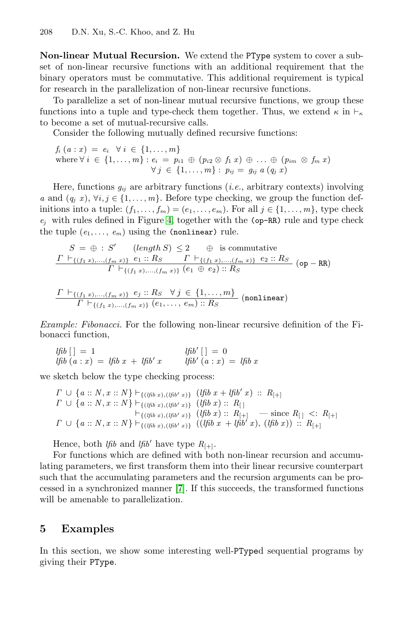**Non-linear Mutual Recursion.** We extend the PType system to cover a subset of non-linear recursive functions with an additional requirement that the binary operators must be commutative. This additional requirement is typical for research in the parallelization of non-linear recursive functions.

To parallelize a set of non-linear mutual recursive functions, we group these functions into a tuple and type-check them together. Thus, we extend  $\kappa$  in  $\vdash_{\kappa}$ to become a set of mutual-recursive calls.

Consider the following mutually defined recursive functions:

$$
f_i (a:x) = e_i \quad \forall i \in \{1, ..., m\}
$$
  
where  $\forall i \in \{1, ..., m\} : e_i = p_{i1} \oplus (p_{i2} \otimes f_1 x) \oplus ... \oplus (p_{im} \otimes f_m x)$   

$$
\forall j \in \{1, ..., m\} : p_{ij} = g_{ij} a (q_j x)
$$

Here, functions g*ij* are arbitrary functions (*i.e.*, arbitrary contexts) involving a and  $(q_i, x)$ ,  $\forall i, j \in \{1, \ldots, m\}$ . Before type checking, we group the function definitions into a tuple:  $(f_1,\ldots,f_m)=(e_1,\ldots,e_m)$ . For all  $j\in\{1,\ldots,m\}$ , type check  $e_j$  with rules defined in Figure [4,](#page-8-0) together with the (op-RR) rule and type check the tuple  $(e_1, \ldots, e_m)$  using the (nonlinear) rule.

$$
S = \bigoplus : S' \quad (length S) \leq 2 \quad \oplus \text{ is commutative}
$$
\n
$$
\frac{\Gamma \vdash_{\{(f_1 x),...,(f_m x)\}} e_1 :: R_S \quad \Gamma \vdash_{\{(f_1 x),...,(f_m x)\}} e_2 :: R_S}{\Gamma \vdash_{\{(f_1 x),...,(f_m x)\}} (e_1 \oplus e_2) :: R_S} \quad (\text{op} - \text{RR})
$$

$$
\frac{\Gamma\vdash_{\{(f_1 x),...,(f_m x)\}} e_j :: R_S \quad \forall j \in \{1,\ldots,m\}}{\Gamma\vdash_{\{(f_1 x),...,(f_m x)\}} (e_1,\ldots,e_m) :: R_S} \text{ (nonlinear)}
$$

*Example: Fibonacci.* For the following non-linear recursive definition of the Fibonacci function,

$$
l\mathit{fib} \begin{bmatrix} ] = 1 & l\mathit{fib}' \end{bmatrix} = 0
$$
  

$$
l\mathit{fib} \begin{bmatrix} a : x \end{bmatrix} = l\mathit{fib} \begin{bmatrix} x + l\mathit{fib}' \end{bmatrix} \begin{bmatrix} b' \\ k \end{bmatrix} = 0
$$

we sketch below the type checking process:

$$
F \cup \{a:: N, x:: N\} \vdash_{\{(l\neq b\ x), (l\neq b')\}} (l\neq b\ x + l\neq b') :: R_{[+]}
$$
  

$$
F \cup \{a:: N, x:: N\} \vdash_{\{(l\neq b\ x), (l\neq b')\}} (l\neq b\ x) :: R_{[]}
$$
  

$$
\vdash_{\{(l\neq b\ x), (l\neq b')\}} (l\neq b\ x) :: R_{[+]} \longrightarrow \text{since } R_{[]} \le: R_{[+]}
$$
  

$$
F \cup \{a:: N, x:: N\} \vdash_{\{(l\neq b\ x), (l\neq b')\}} ((l\neq b\ x + l\neq b')\ x), (l\neq b\ x)) :: R_{[+]}
$$

Hence, both *lfib* and *lfib'* have type  $R_{[+]}.$ 

For functions which are defined with both non-linear recursion and accumulating parameters, we first transform them into their linear recursive counterpart such that the accumulating parameters and the recursion arguments can be processed in a synchronized manner [\[7\]](#page-15-14). If this succeeds, the transformed functions will be amenable to parallelization.

## <span id="page-11-0"></span>**5 Examples**

In this section, we show some interesting well-PTyped sequential programs by giving their PType.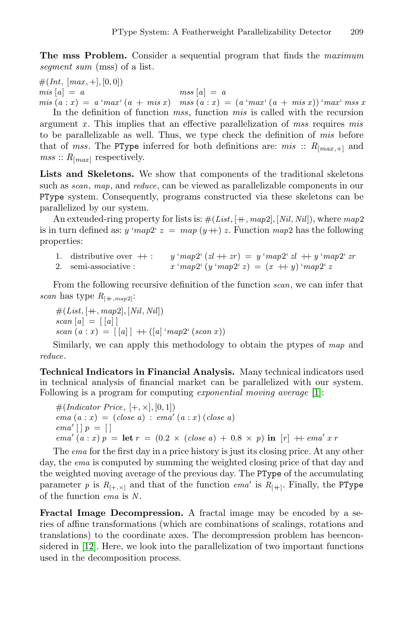**The mss Problem.** Consider a sequential program that finds the *maximum segment sum* (mss) of a list.

 $#(Int, [max, +], [0, 0])$  $mis [a] = a$  mss  $[a] = a$  $mis (a : x) = a 'max' (a + mis x)$   $mss (a : x) = (a 'max' (a + mis x)) 'max' mass x$ 

In the definition of function *mss*, function *mis* is called with the recursion argument *x* . This implies that an effective parallelization of *mss* requires *mis* to be parallelizable as well. Thus, we type check the definition of *mis* before that of *mss*. The PType inferred for both definitions are: *mis* ::  $R_{\lfloor max,+ \rfloor}$  and  $mss :: R_{[max]}$  respectively.

**Lists and Skeletons.** We show that components of the traditional skeletons such as scan, map, and reduce, can be viewed as parallelizable components in our PType system. Consequently, programs constructed via these skeletons can be parallelized by our system.

An extended-ring property for lists is:  $\#(List, [+, map2], [Nil, Nil])$ , where  $map2$ is in turn defined as:  $y \nmapsto z = map (y + z)$ . Function map2 has the following properties:

1. distributive over  $+: y'map2'(zl + zr) = y'map2' zl + y'map2' zr$ 2. semi-associative :  $x \text{ 'map2' } (y \text{ 'map2' } z) = (x + y) \text{ 'map2' } z$ 

From the following recursive definition of the function scan, we can infer that scan has type  $R_{[+,\text{map2}]}$ :

 $#(List, [+, map2], [Nil, Nil])$ scan  $[a] = \lceil a \rceil$  $scan (a : x) = [[a]] + ([a] 'map2' (scan x))$ 

Similarly, we can apply this methodology to obtain the ptypes of map and reduce.

**Technical Indicators in Financial Analysis.** Many technical indicators used in technical analysis of financial market can be parallelized with our system. Following is a program for computing *exponential moving average* [\[1\]](#page-14-0):

```
\#(Indication Price, [+, \times], [0, 1])ema (a : x) = (close \ a) : ema' (a : x) (close \ a)ema' | p = |ema' (a : x) p = \text{let } r = (0.2 \times (close \ a) + 0.8 \times p) \text{ in } [r] + \text{ } ema' x r
```
The ema for the first day in a price history is just its closing price. At any other day, the *ema* is computed by summing the weighted closing price of that day and the weighted moving average of the previous day. The PType of the accumulating parameter p is  $R_{[+, \times]}$  and that of the function *ema*' is  $R_{[+,]}$ . Finally, the PType of the function ema is N .

**Fractal Image Decompression.** A fractal image may be encoded by a series of affine transformations (which are combinations of scalings, rotations and translations) to the coordinate axes. The decompression problem has beenconsidered in [\[12\]](#page-15-15). Here, we look into the parallelization of two important functions used in the decomposition process.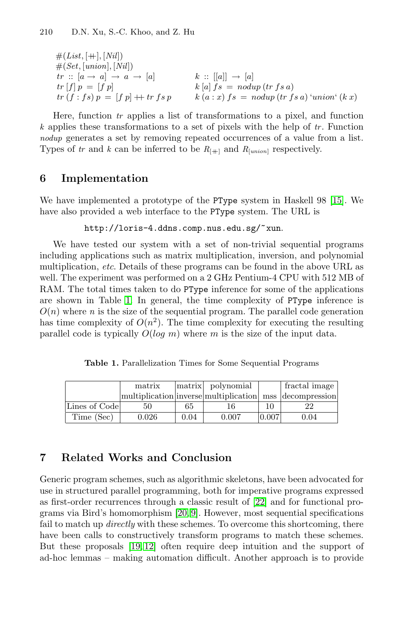$\#(List, [+], [Nil])$  $#(Set, [union], [Nil])$  $tr : [a \rightarrow a] \rightarrow a \rightarrow [a]$   $k : [[a]] \rightarrow [a]$ tr  $[f] p = [f p]$  k  $[a]$   $fs = nodup (tr fs a)$  $tr (f : fs) p = [f p] + tr f s p$  k  $(a : x) fs = nodup (tr fs a)' union' (k x)$ 

Here, function  $tr$  applies a list of transformations to a pixel, and function  $k$  applies these transformations to a set of pixels with the help of  $tr$ . Function nodup generates a set by removing repeated occurrences of a value from a list. Types of tr and k can be inferred to be  $R_{[+]}$  and  $R_{[union]}$  respectively.

# <span id="page-13-0"></span>**6 Implementation**

We have implemented a prototype of the PType system in Haskell 98 [\[15\]](#page-15-5). We have also provided a web interface to the PType system. The URL is

```
http://loris-4.ddns.comp.nus.edu.sg/~xun.
```
We have tested our system with a set of non-trivial sequential programs including applications such as matrix multiplication, inversion, and polynomial multiplication, *etc*. Details of these programs can be found in the above URL as well. The experiment was performed on a 2 GHz Pentium-4 CPU with 512 MB of RAM. The total times taken to do PType inference for some of the applications are shown in Table [1.](#page-13-2) In general, the time complexity of PType inference is  $O(n)$  where *n* is the size of the sequential program. The parallel code generation has time complexity of  $O(n^2)$ . The time complexity for executing the resulting parallel code is typically  $O(log m)$  where m is the size of the input data.

**Table 1.** Parallelization Times for Some Sequential Programs

<span id="page-13-2"></span>

|               | matrix |      | matrix polynomial |       | fractal image                                           |
|---------------|--------|------|-------------------|-------|---------------------------------------------------------|
|               |        |      |                   |       | multiplication inverse multiplication mss decompression |
| Lines of Code | 50     | 65   |                   |       | 22                                                      |
| Time (Sec)    | 0.026  | 0.04 | 0.007             | 0.007 | 0.04                                                    |

# <span id="page-13-1"></span>**7 Related Works and Conclusion**

Generic program schemes, such as algorithmic skeletons, have been advocated for use in structured parallel programming, both for imperative programs expressed as first-order recurrences through a classic result of [\[22\]](#page-15-16) and for functional programs via Bird's homomorphism [\[20,](#page-15-0) [9\]](#page-15-1). However, most sequential specifications fail to match up *directly* with these schemes. To overcome this shortcoming, there have been calls to constructively transform programs to match these schemes. But these proposals [\[19,](#page-15-17) [12\]](#page-15-15) often require deep intuition and the support of ad-hoc lemmas – making automation difficult. Another approach is to provide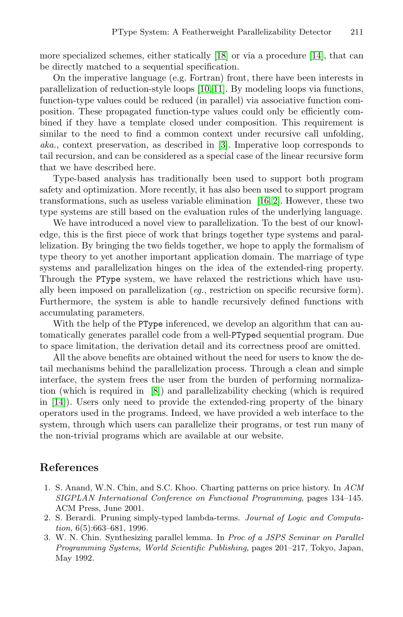more specialized schemes, either statically [\[18\]](#page-15-18) or via a procedure [\[14\]](#page-15-6), that can be directly matched to a sequential specification.

On the imperative language (e.g. Fortran) front, there have been interests in parallelization of reduction-style loops [\[10,](#page-15-12) [11\]](#page-15-19). By modeling loops via functions, function-type values could be reduced (in parallel) via associative function composition. These propagated function-type values could only be efficiently combined if they have a template closed under composition. This requirement is similar to the need to find a common context under recursive call unfolding, *aka.*, context preservation, as described in [\[3\]](#page-14-1). Imperative loop corresponds to tail recursion, and can be considered as a special case of the linear recursive form that we have described here.

Type-based analysis has traditionally been used to support both program safety and optimization. More recently, it has also been used to support program transformations, such as useless variable elimination [\[16,](#page-15-20) [2\]](#page-14-2). However, these two type systems are still based on the evaluation rules of the underlying language.

We have introduced a novel view to parallelization. To the best of our knowledge, this is the first piece of work that brings together type systems and parallelization. By bringing the two fields together, we hope to apply the formalism of type theory to yet another important application domain. The marriage of type systems and parallelization hinges on the idea of the extended-ring property. Through the PType system, we have relaxed the restrictions which have usually been imposed on parallelization (*eg.*, restriction on specific recursive form). Furthermore, the system is able to handle recursively defined functions with accumulating parameters.

With the help of the PType inferenced, we develop an algorithm that can automatically generates parallel code from a well-PTyped sequential program. Due to space limitation, the derivation detail and its correctness proof are omitted.

All the above benefits are obtained without the need for users to know the detail mechanisms behind the parallelization process. Through a clean and simple interface, the system frees the user from the burden of performing normalization (which is required in [\[8\]](#page-15-10)) and parallelizability checking (which is required in [\[14\]](#page-15-6)). Users only need to provide the extended-ring property of the binary operators used in the programs. Indeed, we have provided a web interface to the system, through which users can parallelize their programs, or test run many of the non-trivial programs which are available at our website.

## <span id="page-14-0"></span>**References**

- 1. S. Anand, W.N. Chin, and S.C. Khoo. Charting patterns on price history. In ACM SIGPLAN International Conference on Functional Programming, pages 134–145. ACM Press, June 2001.
- <span id="page-14-2"></span>2. S. Berardi. Pruning simply-typed lambda-terms. Journal of Logic and Computation,  $6(5):663-681$ , 1996.
- <span id="page-14-1"></span>3. W. N. Chin. Synthesizing parallel lemma. In Proc of a JSPS Seminar on Parallel Programming Systems, World Scientific Publishing, pages 201–217, Tokyo, Japan, May 1992.